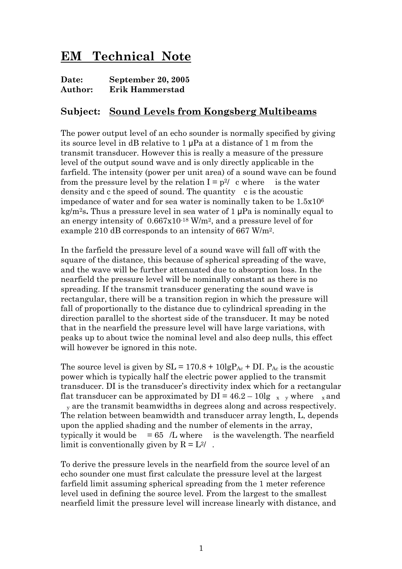## **EM Technical Note**

| Date:   | September 20, 2005 |
|---------|--------------------|
| Author: | Erik Hammerstad    |

## **Subject: Sound Levels from Kongsberg Multibeams**

The power output level of an echo sounder is normally specified by giving its source level in dB relative to 1 μPa at a distance of 1 m from the transmit transducer. However this is really a measure of the pressure level of the output sound wave and is only directly applicable in the farfield. The intensity (power per unit area) of a sound wave can be found from the pressure level by the relation  $I = p^2/c$  where is the water density and c the speed of sound. The quantity c is the acoustic impedance of water and for sea water is nominally taken to be 1.5x106 kg/m2s**.** Thus a pressure level in sea water of 1 μPa is nominally equal to an energy intensity of 0.667x10-18 W/m2, and a pressure level of for example 210 dB corresponds to an intensity of 667 W/m2.

In the farfield the pressure level of a sound wave will fall off with the square of the distance, this because of spherical spreading of the wave, and the wave will be further attenuated due to absorption loss. In the nearfield the pressure level will be nominally constant as there is no spreading. If the transmit transducer generating the sound wave is rectangular, there will be a transition region in which the pressure will fall of proportionally to the distance due to cylindrical spreading in the direction parallel to the shortest side of the transducer. It may be noted that in the nearfield the pressure level will have large variations, with peaks up to about twice the nominal level and also deep nulls, this effect will however be ignored in this note.

The source level is given by  $SL = 170.8 + 10lgP_{Ac} + DI$ .  $P_{Ac}$  is the acoustic power which is typically half the electric power applied to the transmit transducer. DI is the transducer's directivity index which for a rectangular flat transducer can be approximated by  $DI = 46.2 - 10lg_x y$  where x and <sub>y</sub> are the transmit beamwidths in degrees along and across respectively. The relation between beamwidth and transducer array length, L, depends upon the applied shading and the number of elements in the array, typically it would be  $= 65/L$  where is the wavelength. The nearfield limit is conventionally given by  $R = L^2/$ .

To derive the pressure levels in the nearfield from the source level of an echo sounder one must first calculate the pressure level at the largest farfield limit assuming spherical spreading from the 1 meter reference level used in defining the source level. From the largest to the smallest nearfield limit the pressure level will increase linearly with distance, and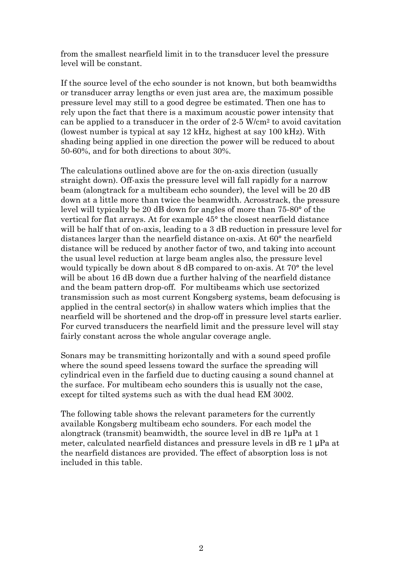from the smallest nearfield limit in to the transducer level the pressure level will be constant.

If the source level of the echo sounder is not known, but both beamwidths or transducer array lengths or even just area are, the maximum possible pressure level may still to a good degree be estimated. Then one has to rely upon the fact that there is a maximum acoustic power intensity that can be applied to a transducer in the order of  $2.5 \text{ W/cm}^2$  to avoid cavitation (lowest number is typical at say 12 kHz, highest at say 100 kHz). With shading being applied in one direction the power will be reduced to about 50-60%, and for both directions to about 30%.

The calculations outlined above are for the on-axis direction (usually straight down). Off-axis the pressure level will fall rapidly for a narrow beam (alongtrack for a multibeam echo sounder), the level will be 20 dB down at a little more than twice the beamwidth. Acrosstrack, the pressure level will typically be 20 dB down for angles of more than 75-80° of the vertical for flat arrays. At for example 45° the closest nearfield distance will be half that of on-axis, leading to a 3 dB reduction in pressure level for distances larger than the nearfield distance on-axis. At 60° the nearfield distance will be reduced by another factor of two, and taking into account the usual level reduction at large beam angles also, the pressure level would typically be down about 8 dB compared to on-axis. At 70° the level will be about 16 dB down due a further halving of the nearfield distance and the beam pattern drop-off. For multibeams which use sectorized transmission such as most current Kongsberg systems, beam defocusing is applied in the central sector(s) in shallow waters which implies that the nearfield will be shortened and the drop-off in pressure level starts earlier. For curved transducers the nearfield limit and the pressure level will stay fairly constant across the whole angular coverage angle.

Sonars may be transmitting horizontally and with a sound speed profile where the sound speed lessens toward the surface the spreading will cylindrical even in the farfield due to ducting causing a sound channel at the surface. For multibeam echo sounders this is usually not the case, except for tilted systems such as with the dual head EM 3002.

The following table shows the relevant parameters for the currently available Kongsberg multibeam echo sounders. For each model the alongtrack (transmit) beamwidth, the source level in dB re 1μPa at 1 meter, calculated nearfield distances and pressure levels in dB re 1 μPa at the nearfield distances are provided. The effect of absorption loss is not included in this table.